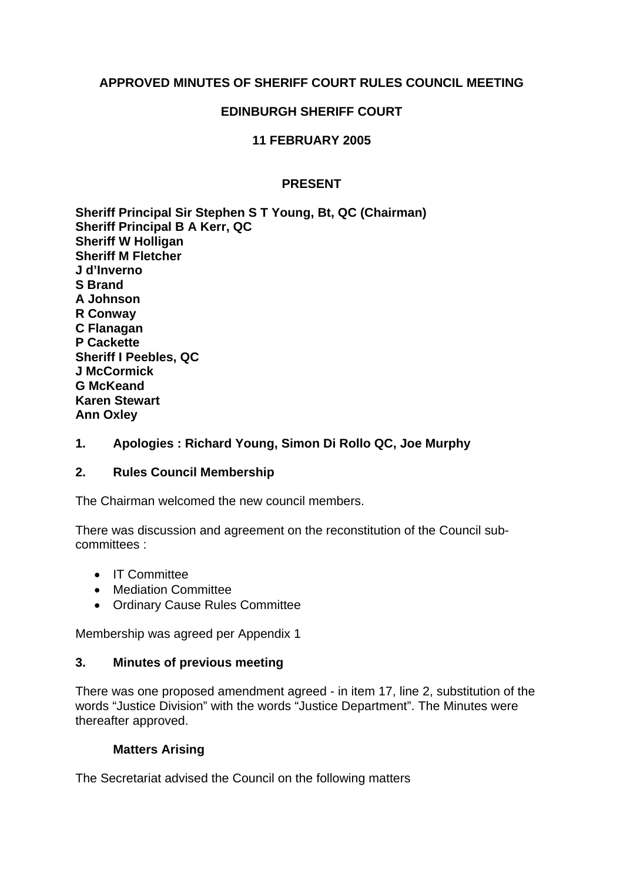# **APPROVED MINUTES OF SHERIFF COURT RULES COUNCIL MEETING**

### **EDINBURGH SHERIFF COURT**

# **11 FEBRUARY 2005**

### **PRESENT**

**Sheriff Principal Sir Stephen S T Young, Bt, QC (Chairman) Sheriff Principal B A Kerr, QC Sheriff W Holligan Sheriff M Fletcher J d'Inverno S Brand A Johnson R Conway C Flanagan P Cackette Sheriff I Peebles, QC J McCormick G McKeand Karen Stewart Ann Oxley**

# **1. Apologies : Richard Young, Simon Di Rollo QC, Joe Murphy**

### **2. Rules Council Membership**

The Chairman welcomed the new council members.

There was discussion and agreement on the reconstitution of the Council subcommittees :

- IT Committee
- Mediation Committee
- Ordinary Cause Rules Committee

Membership was agreed per Appendix 1

#### **3. Minutes of previous meeting**

There was one proposed amendment agreed - in item 17, line 2, substitution of the words "Justice Division" with the words "Justice Department". The Minutes were thereafter approved.

### **Matters Arising**

The Secretariat advised the Council on the following matters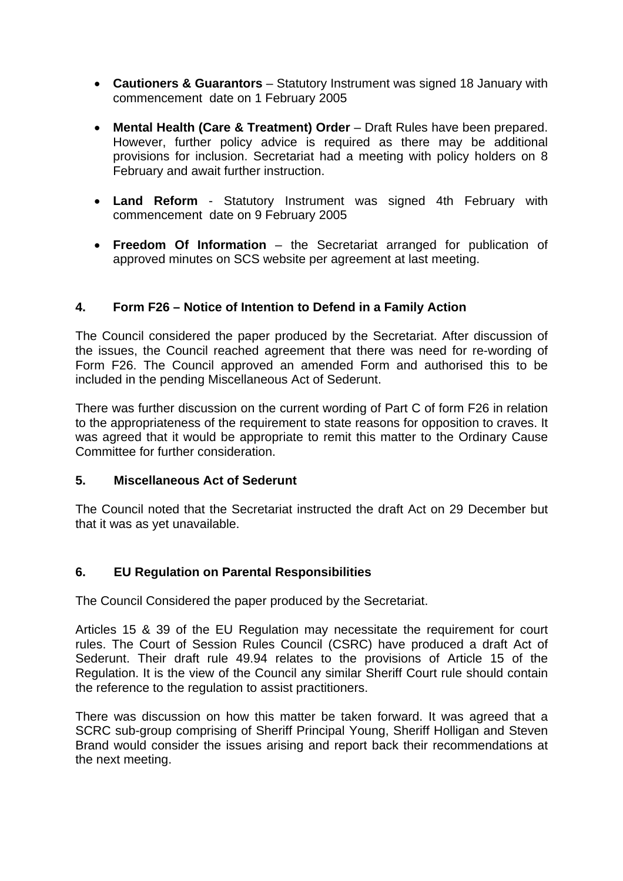- **Cautioners & Guarantors** Statutory Instrument was signed 18 January with commencement date on 1 February 2005
- **Mental Health (Care & Treatment) Order** Draft Rules have been prepared. However, further policy advice is required as there may be additional provisions for inclusion. Secretariat had a meeting with policy holders on 8 February and await further instruction.
- **Land Reform** Statutory Instrument was signed 4th February with commencement date on 9 February 2005
- **Freedom Of Information** the Secretariat arranged for publication of approved minutes on SCS website per agreement at last meeting.

# **4. Form F26 – Notice of Intention to Defend in a Family Action**

The Council considered the paper produced by the Secretariat. After discussion of the issues, the Council reached agreement that there was need for re-wording of Form F26. The Council approved an amended Form and authorised this to be included in the pending Miscellaneous Act of Sederunt.

There was further discussion on the current wording of Part C of form F26 in relation to the appropriateness of the requirement to state reasons for opposition to craves. It was agreed that it would be appropriate to remit this matter to the Ordinary Cause Committee for further consideration.

### **5. Miscellaneous Act of Sederunt**

The Council noted that the Secretariat instructed the draft Act on 29 December but that it was as yet unavailable.

### **6. EU Regulation on Parental Responsibilities**

The Council Considered the paper produced by the Secretariat.

Articles 15 & 39 of the EU Regulation may necessitate the requirement for court rules. The Court of Session Rules Council (CSRC) have produced a draft Act of Sederunt. Their draft rule 49.94 relates to the provisions of Article 15 of the Regulation. It is the view of the Council any similar Sheriff Court rule should contain the reference to the regulation to assist practitioners.

There was discussion on how this matter be taken forward. It was agreed that a SCRC sub-group comprising of Sheriff Principal Young, Sheriff Holligan and Steven Brand would consider the issues arising and report back their recommendations at the next meeting.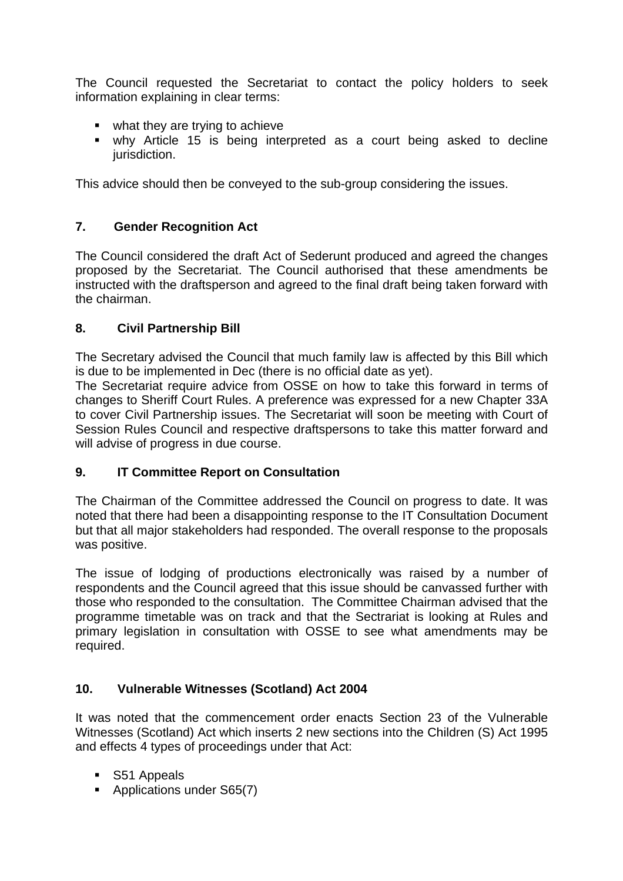The Council requested the Secretariat to contact the policy holders to seek information explaining in clear terms:

- what they are trying to achieve
- why Article 15 is being interpreted as a court being asked to decline jurisdiction.

This advice should then be conveyed to the sub-group considering the issues.

# **7. Gender Recognition Act**

The Council considered the draft Act of Sederunt produced and agreed the changes proposed by the Secretariat. The Council authorised that these amendments be instructed with the draftsperson and agreed to the final draft being taken forward with the chairman.

# **8. Civil Partnership Bill**

The Secretary advised the Council that much family law is affected by this Bill which is due to be implemented in Dec (there is no official date as yet).

The Secretariat require advice from OSSE on how to take this forward in terms of changes to Sheriff Court Rules. A preference was expressed for a new Chapter 33A to cover Civil Partnership issues. The Secretariat will soon be meeting with Court of Session Rules Council and respective draftspersons to take this matter forward and will advise of progress in due course.

# **9. IT Committee Report on Consultation**

The Chairman of the Committee addressed the Council on progress to date. It was noted that there had been a disappointing response to the IT Consultation Document but that all major stakeholders had responded. The overall response to the proposals was positive.

The issue of lodging of productions electronically was raised by a number of respondents and the Council agreed that this issue should be canvassed further with those who responded to the consultation. The Committee Chairman advised that the programme timetable was on track and that the Sectrariat is looking at Rules and primary legislation in consultation with OSSE to see what amendments may be required.

# **10. Vulnerable Witnesses (Scotland) Act 2004**

It was noted that the commencement order enacts Section 23 of the Vulnerable Witnesses (Scotland) Act which inserts 2 new sections into the Children (S) Act 1995 and effects 4 types of proceedings under that Act:

- S51 Appeals
- **Applications under S65(7)**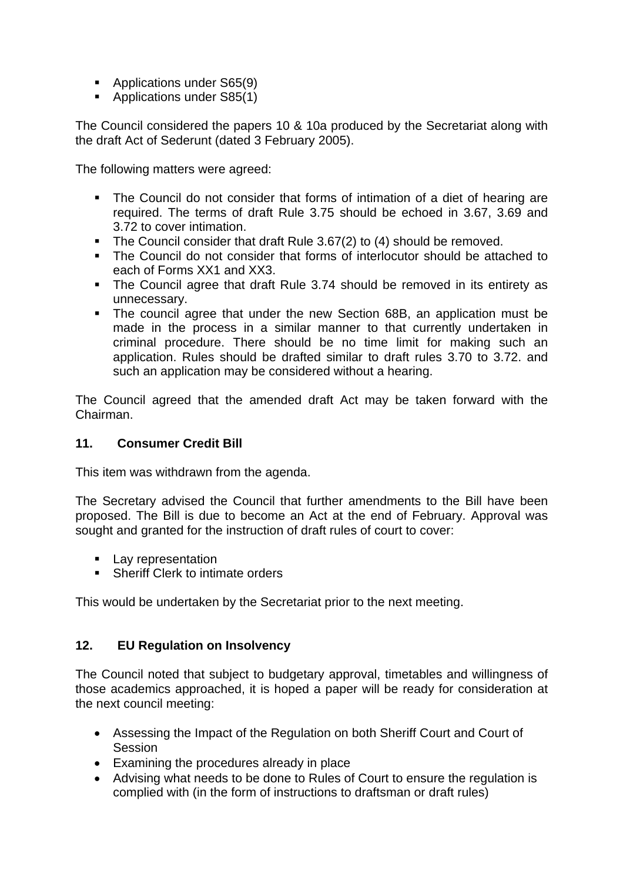- **Applications under S65(9)**
- Applications under S85(1)

The Council considered the papers 10 & 10a produced by the Secretariat along with the draft Act of Sederunt (dated 3 February 2005).

The following matters were agreed:

- The Council do not consider that forms of intimation of a diet of hearing are required. The terms of draft Rule 3.75 should be echoed in 3.67, 3.69 and 3.72 to cover intimation.
- The Council consider that draft Rule 3.67(2) to (4) should be removed.
- The Council do not consider that forms of interlocutor should be attached to each of Forms XX1 and XX3.
- The Council agree that draft Rule 3.74 should be removed in its entirety as unnecessary.
- The council agree that under the new Section 68B, an application must be made in the process in a similar manner to that currently undertaken in criminal procedure. There should be no time limit for making such an application. Rules should be drafted similar to draft rules 3.70 to 3.72. and such an application may be considered without a hearing.

The Council agreed that the amended draft Act may be taken forward with the Chairman.

### **11. Consumer Credit Bill**

This item was withdrawn from the agenda.

The Secretary advised the Council that further amendments to the Bill have been proposed. The Bill is due to become an Act at the end of February. Approval was sought and granted for the instruction of draft rules of court to cover:

- **Lay representation**
- **Sheriff Clerk to intimate orders**

This would be undertaken by the Secretariat prior to the next meeting.

# **12. EU Regulation on Insolvency**

The Council noted that subject to budgetary approval, timetables and willingness of those academics approached, it is hoped a paper will be ready for consideration at the next council meeting:

- Assessing the Impact of the Regulation on both Sheriff Court and Court of **Session**
- Examining the procedures already in place
- Advising what needs to be done to Rules of Court to ensure the regulation is complied with (in the form of instructions to draftsman or draft rules)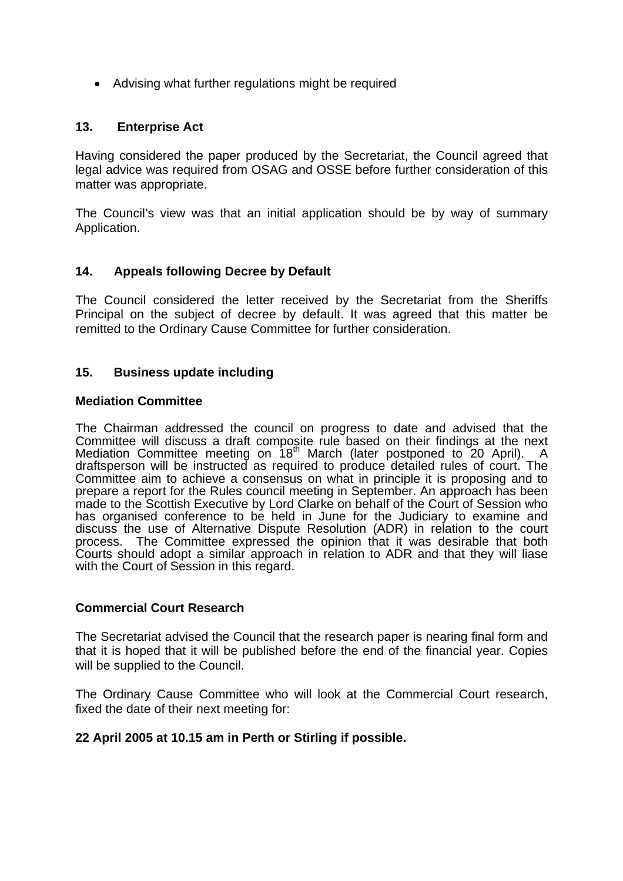• Advising what further regulations might be required

### **13. Enterprise Act**

Having considered the paper produced by the Secretariat, the Council agreed that legal advice was required from OSAG and OSSE before further consideration of this matter was appropriate.

The Council's view was that an initial application should be by way of summary Application.

### **14. Appeals following Decree by Default**

The Council considered the letter received by the Secretariat from the Sheriffs Principal on the subject of decree by default. It was agreed that this matter be remitted to the Ordinary Cause Committee for further consideration.

### **15. Business update including**

### **Mediation Committee**

The Chairman addressed the council on progress to date and advised that the Committee will discuss a draft composite rule based on their findings at the next Mediation Committee meeting on 18<sup>th</sup> March (later postponed to 20 April). A draftsperson will be instructed as required to produce detailed rules of court. The Committee aim to achieve a consensus on what in principle it is proposing and to prepare a report for the Rules council meeting in September. An approach has been made to the Scottish Executive by Lord Clarke on behalf of the Court of Session who has organised conference to be held in June for the Judiciary to examine and discuss the use of Alternative Dispute Resolution (ADR) in relation to the court process. The Committee expressed the opinion that it was desirable that both Courts should adopt a similar approach in relation to ADR and that they will liase with the Court of Session in this regard.

### **Commercial Court Research**

The Secretariat advised the Council that the research paper is nearing final form and that it is hoped that it will be published before the end of the financial year. Copies will be supplied to the Council.

The Ordinary Cause Committee who will look at the Commercial Court research, fixed the date of their next meeting for:

### **22 April 2005 at 10.15 am in Perth or Stirling if possible.**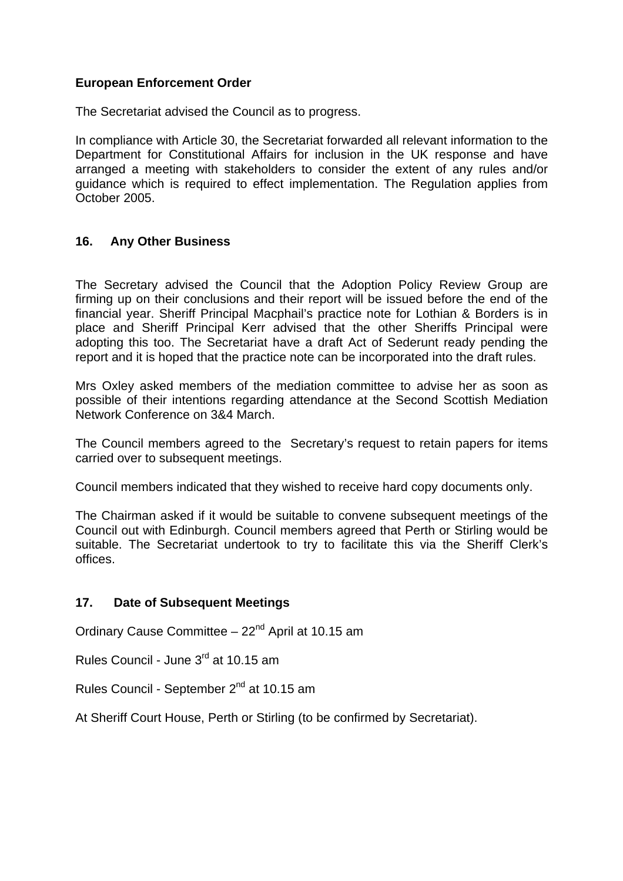### **European Enforcement Order**

The Secretariat advised the Council as to progress.

In compliance with Article 30, the Secretariat forwarded all relevant information to the Department for Constitutional Affairs for inclusion in the UK response and have arranged a meeting with stakeholders to consider the extent of any rules and/or guidance which is required to effect implementation. The Regulation applies from October 2005.

### **16. Any Other Business**

The Secretary advised the Council that the Adoption Policy Review Group are firming up on their conclusions and their report will be issued before the end of the financial year. Sheriff Principal Macphail's practice note for Lothian & Borders is in place and Sheriff Principal Kerr advised that the other Sheriffs Principal were adopting this too. The Secretariat have a draft Act of Sederunt ready pending the report and it is hoped that the practice note can be incorporated into the draft rules.

Mrs Oxley asked members of the mediation committee to advise her as soon as possible of their intentions regarding attendance at the Second Scottish Mediation Network Conference on 3&4 March.

The Council members agreed to the Secretary's request to retain papers for items carried over to subsequent meetings.

Council members indicated that they wished to receive hard copy documents only.

The Chairman asked if it would be suitable to convene subsequent meetings of the Council out with Edinburgh. Council members agreed that Perth or Stirling would be suitable. The Secretariat undertook to try to facilitate this via the Sheriff Clerk's offices.

### **17. Date of Subsequent Meetings**

Ordinary Cause Committee - 22<sup>nd</sup> April at 10.15 am

Rules Council - June 3rd at 10.15 am

Rules Council - September 2<sup>nd</sup> at 10.15 am

At Sheriff Court House, Perth or Stirling (to be confirmed by Secretariat).